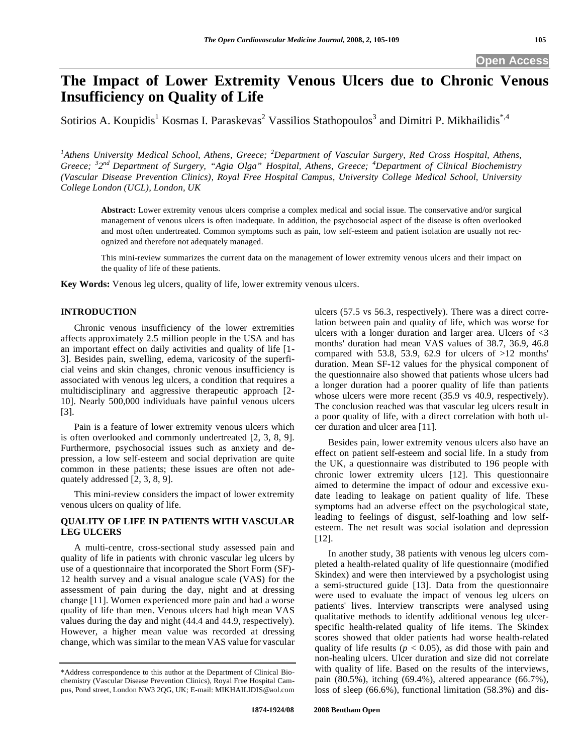# **The Impact of Lower Extremity Venous Ulcers due to Chronic Venous Insufficiency on Quality of Life**

Sotirios A. Koupidis<sup>1</sup> Kosmas I. Paraskevas<sup>2</sup> Vassilios Stathopoulos<sup>3</sup> and Dimitri P. Mikhailidis<sup>\*,4</sup>

<sup>1</sup> Athens University Medical School, Athens, Greece; <sup>2</sup> Department of Vascular Surgery, Red Cross Hospital, Athens, *Greece; <sup>3</sup> 2nd Department of Surgery, "Agia Olga" Hospital, Athens, Greece; 4 Department of Clinical Biochemistry (Vascular Disease Prevention Clinics), Royal Free Hospital Campus, University College Medical School, University College London (UCL), London, UK* 

**Abstract:** Lower extremity venous ulcers comprise a complex medical and social issue. The conservative and/or surgical management of venous ulcers is often inadequate. In addition, the psychosocial aspect of the disease is often overlooked and most often undertreated. Common symptoms such as pain, low self-esteem and patient isolation are usually not recognized and therefore not adequately managed.

This mini-review summarizes the current data on the management of lower extremity venous ulcers and their impact on the quality of life of these patients.

**Key Words:** Venous leg ulcers, quality of life, lower extremity venous ulcers.

### **INTRODUCTION**

 Chronic venous insufficiency of the lower extremities affects approximately 2.5 million people in the USA and has an important effect on daily activities and quality of life [1- 3]. Besides pain, swelling, edema, varicosity of the superficial veins and skin changes, chronic venous insufficiency is associated with venous leg ulcers, a condition that requires a multidisciplinary and aggressive therapeutic approach [2- 10]. Nearly 500,000 individuals have painful venous ulcers [3].

 Pain is a feature of lower extremity venous ulcers which is often overlooked and commonly undertreated [2, 3, 8, 9]. Furthermore, psychosocial issues such as anxiety and depression, a low self-esteem and social deprivation are quite common in these patients; these issues are often not adequately addressed [2, 3, 8, 9].

 This mini-review considers the impact of lower extremity venous ulcers on quality of life.

## **QUALITY OF LIFE IN PATIENTS WITH VASCULAR LEG ULCERS**

 A multi-centre, cross-sectional study assessed pain and quality of life in patients with chronic vascular leg ulcers by use of a questionnaire that incorporated the Short Form (SF)- 12 health survey and a visual analogue scale (VAS) for the assessment of pain during the day, night and at dressing change [11]. Women experienced more pain and had a worse quality of life than men. Venous ulcers had high mean VAS values during the day and night (44.4 and 44.9, respectively). However, a higher mean value was recorded at dressing change, which was similar to the mean VAS value for vascular ulcers (57.5 vs 56.3, respectively). There was a direct correlation between pain and quality of life, which was worse for ulcers with a longer duration and larger area. Ulcers of <3 months' duration had mean VAS values of 38.7, 36.9, 46.8 compared with 53.8, 53.9, 62.9 for ulcers of  $>12$  months' duration. Mean SF-12 values for the physical component of the questionnaire also showed that patients whose ulcers had a longer duration had a poorer quality of life than patients whose ulcers were more recent (35.9 vs 40.9, respectively). The conclusion reached was that vascular leg ulcers result in a poor quality of life, with a direct correlation with both ulcer duration and ulcer area [11].

 Besides pain, lower extremity venous ulcers also have an effect on patient self-esteem and social life. In a study from the UK, a questionnaire was distributed to 196 people with chronic lower extremity ulcers [12]. This questionnaire aimed to determine the impact of odour and excessive exudate leading to leakage on patient quality of life. These symptoms had an adverse effect on the psychological state, leading to feelings of disgust, self-loathing and low selfesteem. The net result was social isolation and depression [12].

 In another study, 38 patients with venous leg ulcers completed a health-related quality of life questionnaire (modified Skindex) and were then interviewed by a psychologist using a semi-structured guide [13]. Data from the questionnaire were used to evaluate the impact of venous leg ulcers on patients' lives. Interview transcripts were analysed using qualitative methods to identify additional venous leg ulcerspecific health-related quality of life items. The Skindex scores showed that older patients had worse health-related quality of life results ( $p < 0.05$ ), as did those with pain and non-healing ulcers. Ulcer duration and size did not correlate with quality of life. Based on the results of the interviews, pain (80.5%), itching (69.4%), altered appearance (66.7%), loss of sleep (66.6%), functional limitation (58.3%) and dis-

<sup>\*</sup>Address correspondence to this author at the Department of Clinical Biochemistry (Vascular Disease Prevention Clinics), Royal Free Hospital Campus, Pond street, London NW3 2QG, UK; E-mail: MIKHAILIDIS@aol.com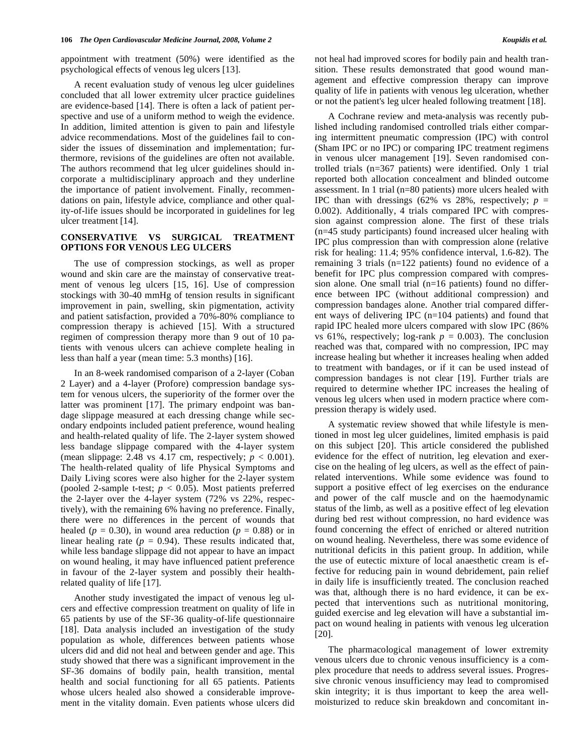appointment with treatment (50%) were identified as the psychological effects of venous leg ulcers [13].

 A recent evaluation study of venous leg ulcer guidelines concluded that all lower extremity ulcer practice guidelines are evidence-based [14]. There is often a lack of patient perspective and use of a uniform method to weigh the evidence. In addition, limited attention is given to pain and lifestyle advice recommendations. Most of the guidelines fail to consider the issues of dissemination and implementation; furthermore, revisions of the guidelines are often not available. The authors recommend that leg ulcer guidelines should incorporate a multidisciplinary approach and they underline the importance of patient involvement. Finally, recommendations on pain, lifestyle advice, compliance and other quality-of-life issues should be incorporated in guidelines for leg ulcer treatment [14].

### **CONSERVATIVE VS SURGICAL TREATMENT OPTIONS FOR VENOUS LEG ULCERS**

 The use of compression stockings, as well as proper wound and skin care are the mainstay of conservative treatment of venous leg ulcers [15, 16]. Use of compression stockings with 30-40 mmHg of tension results in significant improvement in pain, swelling, skin pigmentation, activity and patient satisfaction, provided a 70%-80% compliance to compression therapy is achieved [15]. With a structured regimen of compression therapy more than 9 out of 10 patients with venous ulcers can achieve complete healing in less than half a year (mean time: 5.3 months) [16].

 In an 8-week randomised comparison of a 2-layer (Coban 2 Layer) and a 4-layer (Profore) compression bandage system for venous ulcers, the superiority of the former over the latter was prominent [17]. The primary endpoint was bandage slippage measured at each dressing change while secondary endpoints included patient preference, wound healing and health-related quality of life. The 2-layer system showed less bandage slippage compared with the 4-layer system (mean slippage: 2.48 vs 4.17 cm, respectively;  $p < 0.001$ ). The health-related quality of life Physical Symptoms and Daily Living scores were also higher for the 2-layer system (pooled 2-sample t-test;  $p < 0.05$ ). Most patients preferred the 2-layer over the 4-layer system (72% vs 22%, respectively), with the remaining 6% having no preference. Finally, there were no differences in the percent of wounds that healed ( $p = 0.30$ ), in wound area reduction ( $p = 0.88$ ) or in linear healing rate  $(p = 0.94)$ . These results indicated that, while less bandage slippage did not appear to have an impact on wound healing, it may have influenced patient preference in favour of the 2-layer system and possibly their healthrelated quality of life [17].

 Another study investigated the impact of venous leg ulcers and effective compression treatment on quality of life in 65 patients by use of the SF-36 quality-of-life questionnaire [18]. Data analysis included an investigation of the study population as whole, differences between patients whose ulcers did and did not heal and between gender and age. This study showed that there was a significant improvement in the SF-36 domains of bodily pain, health transition, mental health and social functioning for all 65 patients. Patients whose ulcers healed also showed a considerable improvement in the vitality domain. Even patients whose ulcers did not heal had improved scores for bodily pain and health transition. These results demonstrated that good wound management and effective compression therapy can improve quality of life in patients with venous leg ulceration, whether or not the patient's leg ulcer healed following treatment [18].

 A Cochrane review and meta-analysis was recently published including randomised controlled trials either comparing intermittent pneumatic compression (IPC) with control (Sham IPC or no IPC) or comparing IPC treatment regimens in venous ulcer management [19]. Seven randomised controlled trials (n=367 patients) were identified. Only 1 trial reported both allocation concealment and blinded outcome assessment. In 1 trial (n=80 patients) more ulcers healed with IPC than with dressings (62% vs 28%, respectively;  $p =$ 0.002). Additionally, 4 trials compared IPC with compression against compression alone. The first of these trials (n=45 study participants) found increased ulcer healing with IPC plus compression than with compression alone (relative risk for healing: 11.4; 95% confidence interval, 1.6-82). The remaining 3 trials (n=122 patients) found no evidence of a benefit for IPC plus compression compared with compression alone. One small trial (n=16 patients) found no difference between IPC (without additional compression) and compression bandages alone. Another trial compared different ways of delivering IPC (n=104 patients) and found that rapid IPC healed more ulcers compared with slow IPC (86% vs 61%, respectively; log-rank  $p = 0.003$ ). The conclusion reached was that, compared with no compression, IPC may increase healing but whether it increases healing when added to treatment with bandages, or if it can be used instead of compression bandages is not clear [19]. Further trials are required to determine whether IPC increases the healing of venous leg ulcers when used in modern practice where compression therapy is widely used.

 A systematic review showed that while lifestyle is mentioned in most leg ulcer guidelines, limited emphasis is paid on this subject [20]. This article considered the published evidence for the effect of nutrition, leg elevation and exercise on the healing of leg ulcers, as well as the effect of painrelated interventions. While some evidence was found to support a positive effect of leg exercises on the endurance and power of the calf muscle and on the haemodynamic status of the limb, as well as a positive effect of leg elevation during bed rest without compression, no hard evidence was found concerning the effect of enriched or altered nutrition on wound healing. Nevertheless, there was some evidence of nutritional deficits in this patient group. In addition, while the use of eutectic mixture of local anaesthetic cream is effective for reducing pain in wound debridement, pain relief in daily life is insufficiently treated. The conclusion reached was that, although there is no hard evidence, it can be expected that interventions such as nutritional monitoring, guided exercise and leg elevation will have a substantial impact on wound healing in patients with venous leg ulceration [20].

 The pharmacological management of lower extremity venous ulcers due to chronic venous insufficiency is a complex procedure that needs to address several issues. Progressive chronic venous insufficiency may lead to compromised skin integrity; it is thus important to keep the area wellmoisturized to reduce skin breakdown and concomitant in-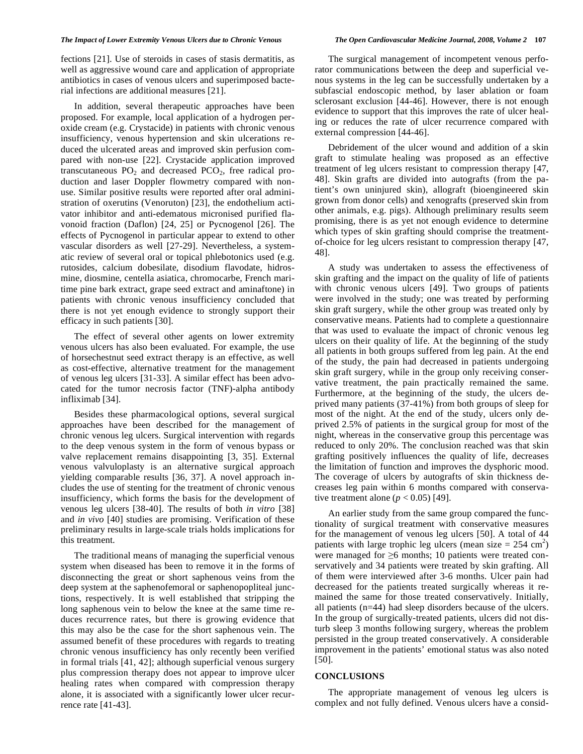#### *The Impact of Lower Extremity Venous Ulcers due to Chronic Venous The Open Cardiovascular Medicine Journal, 2008, Volume 2* **107**

fections [21]. Use of steroids in cases of stasis dermatitis, as well as aggressive wound care and application of appropriate antibiotics in cases of venous ulcers and superimposed bacterial infections are additional measures [21].

 In addition, several therapeutic approaches have been proposed. For example, local application of a hydrogen peroxide cream (e.g. Crystacide) in patients with chronic venous insufficiency, venous hypertension and skin ulcerations reduced the ulcerated areas and improved skin perfusion compared with non-use [22]. Crystacide application improved transcutaneous  $PO_2$  and decreased  $PCO_2$ , free radical production and laser Doppler flowmetry compared with nonuse. Similar positive results were reported after oral administration of oxerutins (Venoruton) [23], the endothelium activator inhibitor and anti-edematous micronised purified flavonoid fraction (Daflon) [24, 25] or Pycnogenol [26]. The effects of Pycnogenol in particular appear to extend to other vascular disorders as well [27-29]. Nevertheless, a systematic review of several oral or topical phlebotonics used (e.g. rutosides, calcium dobesilate, disodium flavodate, hidrosmine, diosmine, centella asiatica, chromocarbe, French maritime pine bark extract, grape seed extract and aminaftone) in patients with chronic venous insufficiency concluded that there is not yet enough evidence to strongly support their efficacy in such patients [30].

 The effect of several other agents on lower extremity venous ulcers has also been evaluated. For example, the use of horsechestnut seed extract therapy is an effective, as well as cost-effective, alternative treatment for the management of venous leg ulcers [31-33]. A similar effect has been advocated for the tumor necrosis factor (TNF)-alpha antibody infliximab [34].

 Besides these pharmacological options, several surgical approaches have been described for the management of chronic venous leg ulcers. Surgical intervention with regards to the deep venous system in the form of venous bypass or valve replacement remains disappointing [3, 35]. External venous valvuloplasty is an alternative surgical approach yielding comparable results [36, 37]. A novel approach includes the use of stenting for the treatment of chronic venous insufficiency, which forms the basis for the development of venous leg ulcers [38-40]. The results of both *in vitro* [38] and *in vivo* [40] studies are promising. Verification of these preliminary results in large-scale trials holds implications for this treatment.

The traditional means of managing the superficial venous system when diseased has been to remove it in the forms of disconnecting the great or short saphenous veins from the deep system at the saphenofemoral or saphenopopliteal junctions, respectively. It is well established that stripping the long saphenous vein to below the knee at the same time reduces recurrence rates, but there is growing evidence that this may also be the case for the short saphenous vein. The assumed benefit of these procedures with regards to treating chronic venous insufficiency has only recently been verified in formal trials [41, 42]; although superficial venous surgery plus compression therapy does not appear to improve ulcer healing rates when compared with compression therapy alone, it is associated with a significantly lower ulcer recurrence rate [41-43].

 The surgical management of incompetent venous perforator communications between the deep and superficial venous systems in the leg can be successfully undertaken by a subfascial endoscopic method, by laser ablation or foam sclerosant exclusion [44-46]. However, there is not enough evidence to support that this improves the rate of ulcer healing or reduces the rate of ulcer recurrence compared with external compression [44-46].

 Debridement of the ulcer wound and addition of a skin graft to stimulate healing was proposed as an effective treatment of leg ulcers resistant to compression therapy [47, 48]. Skin grafts are divided into autografts (from the patient's own uninjured skin), allograft (bioengineered skin grown from donor cells) and xenografts (preserved skin from other animals, e.g. pigs). Although preliminary results seem promising, there is as yet not enough evidence to determine which types of skin grafting should comprise the treatmentof-choice for leg ulcers resistant to compression therapy [47, 48].

 A study was undertaken to assess the effectiveness of skin grafting and the impact on the quality of life of patients with chronic venous ulcers [49]. Two groups of patients were involved in the study; one was treated by performing skin graft surgery, while the other group was treated only by conservative means. Patients had to complete a questionnaire that was used to evaluate the impact of chronic venous leg ulcers on their quality of life. At the beginning of the study all patients in both groups suffered from leg pain. At the end of the study, the pain had decreased in patients undergoing skin graft surgery, while in the group only receiving conservative treatment, the pain practically remained the same. Furthermore, at the beginning of the study, the ulcers deprived many patients (37-41%) from both groups of sleep for most of the night. At the end of the study, ulcers only deprived 2.5% of patients in the surgical group for most of the night, whereas in the conservative group this percentage was reduced to only 20%. The conclusion reached was that skin grafting positively influences the quality of life, decreases the limitation of function and improves the dysphoric mood. The coverage of ulcers by autografts of skin thickness decreases leg pain within 6 months compared with conservative treatment alone  $(p < 0.05)$  [49].

 An earlier study from the same group compared the functionality of surgical treatment with conservative measures for the management of venous leg ulcers [50]. A total of 44 patients with large trophic leg ulcers (mean size  $= 254$  cm<sup>2</sup>) were managed for  $\geq 6$  months; 10 patients were treated conservatively and 34 patients were treated by skin grafting. All of them were interviewed after 3-6 months. Ulcer pain had decreased for the patients treated surgically whereas it remained the same for those treated conservatively. Initially, all patients (n=44) had sleep disorders because of the ulcers. In the group of surgically-treated patients, ulcers did not disturb sleep 3 months following surgery, whereas the problem persisted in the group treated conservatively. A considerable improvement in the patients' emotional status was also noted [50].

#### **CONCLUSIONS**

 The appropriate management of venous leg ulcers is complex and not fully defined. Venous ulcers have a consid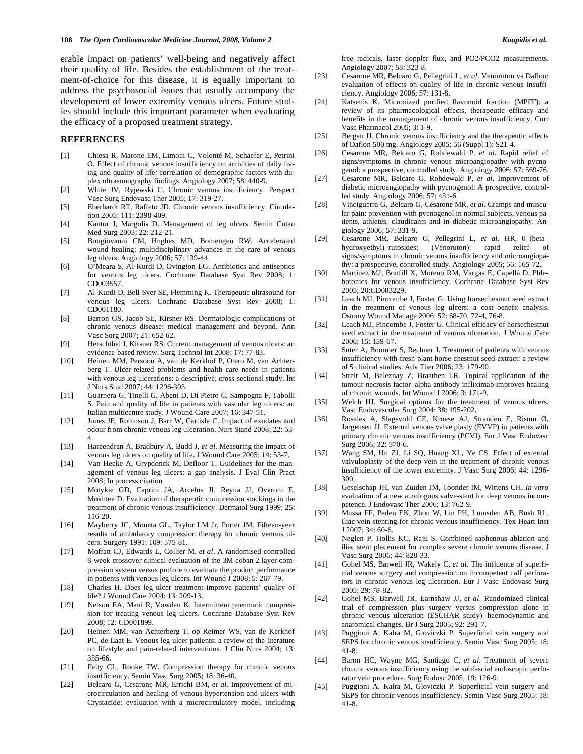erable impact on patients' well-being and negatively affect their quality of life. Besides the establishment of the treatment-of-choice for this disease, it is equally important to address the psychosocial issues that usually accompany the development of lower extremity venous ulcers. Future studies should include this important parameter when evaluating the efficacy of a proposed treatment strategy.

#### **REFERENCES**

- [1] Chiesa R, Marone EM, Limoni C, Volonté M, Schaefer E, Petrini O. Effect of chronic venous insufficiency on activities of daily living and quality of life: correlation of demographic factors with duplex ultrasonography findings. Angiology 2007; 58: 440-9.
- [2] White JV, Ryjewski C. Chronic venous insufficiency. Perspect Vasc Surg Endovasc Ther 2005; 17: 319-27.
- [3] Eberhardt RT, Raffeto JD. Chronic venous insufficiency. Circulation 2005; 111: 2398-409.
- [4] Kantor J, Margolis D. Management of leg ulcers. Semin Cutan Med Surg 2003; 22: 212-21.
- [5] Bongiovanni CM, Hughes MD, Bomengen RW. Accelerated wound healing: multidisciplinary advances in the care of venous leg ulcers. Angiology 2006; 57: 139-44.
- [6] O'Meara S, Al-Kurdi D, Ovington LG. Antibiotics and antiseptics for venous leg ulcers. Cochrane Database Syst Rev 2008; 1: CD003557.
- [7] Al-Kurdi D, Bell-Syer SE, Flemming K. Therapeutic ultrasound for venous leg ulcers. Cochrane Database Syst Rev 2008; 1: CD001180.
- [8] Barron GS, Jacob SE, Kirsner RS. Dermatologic complications of chronic venous disease: medical management and beyond. Ann Vasc Surg 2007; 21: 652-62.
- [9] Herschthal J, Kirsner RS. Current management of venous ulcers: an evidence-based review. Surg Technol Int 2008; 17: 77-83.
- [10] Heinen MM, Persoon A, van de Kerkhof P, Otero M, van Achterberg T. Ulcer-related problems and health care needs in patients with venous leg ulcerations: a descriptive, cross-sectional study. Int J Nurs Stud 2007; 44: 1296-303.
- [11] Guarnera G, Tinelli G, Abeni D, Di Pietro C, Sampogna F, Tabolli S. Pain and quality of life in patients with vascular leg ulcers: an Italian multicentre study. J Wound Care 2007; 16: 347-51.
- [12] Jones JE, Robinson J, Barr W, Carlisle C. Impact of exudates and odour from chronic venous leg ulceration. Nurs Stand 2008; 22: 53- 4.
- [13] Hareendran A, Bradbury A, Budd J, *et al*. Measuring the impact of venous leg ulcers on quality of life. J Wound Care 2005; 14: 53-7.
- [14] Van Hecke A, Grypdonck M, Defloor T. Guidelines for the management of venous leg ulcers: a gap analysis. J Eval Clin Pract 2008; In process citation
- [15] Motykie GD, Caprini JA, Arcelus JI, Reyna JJ, Overom E, Mokhtee D. Evaluation of therapeutic compression stockings in the treatment of chronic venous insufficiency. Dermatol Surg 1999; 25: 116-20.
- [16] Mayberry JC, Moneta GL, Taylor LM Jr, Porter JM. Fifteen-year results of ambulatory compression therapy for chronic venous ulcers. Surgery 1991; 109: 575-81.
- [17] Moffatt CJ, Edwards L, Collier M, *et al*. A randomised controlled 8-week crossover clinical evaluation of the 3M coban 2 layer compression system versus profore to evaluate the product performance in patients with venous leg ulcers. Int Wound J 2008; 5: 267-79.
- [18] Charles H. Does leg ulcer treatment improve patients' quality of life? J Wound Care 2004; 13: 209-13.
- [19] Nelson EA, Mani R, Vowden K. Intermittent pneumatic compression for treating venous leg ulcers. Cochrane Database Syst Rev 2008; 12: CD001899.
- [20] Heinen MM, van Achterberg T, op Reimer WS, van de Kerkhof PC, de Laat E. Venous leg ulcer patients: a review of the literature on lifestyle and pain-related interventions. J Clin Nurs 2004; 13: 355-66.
- [21] Felty CL, Rooke TW. Compression therapy for chronic venous insufficiency. Semin Vasc Surg 2005; 18: 36-40.
- [22] Belcaro G, Cesarone MR, Errichi BM, *et al*. Improvement of microcirculation and healing of venous hypertension and ulcers with Crystacide: evaluation with a microcirculatory model, including

free radicals, laser doppler flux, and PO2/PCO2 measurements. Angiology 2007; 58: 323-8.

- [23] Cesarone MR, Belcaro G, Pellegrini L, *et al*. Venoruton vs Daflon: evaluation of effects on quality of life in chronic venous insufficiency. Angiology 2006; 57: 131-8.
- [24] Katsenis K. Micronized purified flavonoid fraction (MPFF): a review of its pharmacological effects, therapeutic efficacy and benefits in the management of chronic venous insufficiency. Curr Vasc Pharmacol 2005; 3: 1-9.
- [25] Bergan JJ. Chronic venous insufficiency and the therapeutic effects of Daflon 500 mg. Angiology 2005; 56 (Suppl 1): S21-4.
- [26] Cesarone MR, Belcaro G, Rohdewald P, *et al*. Rapid relief of signs/symptoms in chronic venous microangiopathy with pycnogenol: a prospective, controlled study. Angiology 2006; 57: 569-76.
- [27] Cesarone MR, Belcaro G, Rohdewald P, *et al*. Improvement of diabetic microangiopathy with pycnogenol: A prospective, controlled study. Angiology 2006; 57: 431-6.
- [28] Vinciguerra G, Belcaro G, Cesarone MR, *et al*. Cramps and muscular pain: prevention with pycnogenol in normal subjects, venous patients, athletes, claudicants and in diabetic microangiopathy. Angiology 2006; 57: 331-9.
- [29] Cesarone MR, Belcaro G, Pellegrini L, *et al*. HR, 0–(beta– hydroxyethyl)–rutosides; (Venoruton): rapid relief of signs/symptoms in chronic venous insufficiency and microangiopathy: a prospective, controlled study. Angiology 2005; 56: 165-72.
- [30] Martinez MJ, Bonfill X, Moreno RM, Vargas E, Capellà D. Phlebotonics for venous insufficiency. Cochrane Database Syst Rev 2005; 20:CD003229.
- [31] Leach MJ, Pincombe J, Foster G. Using horsechestnut seed extract in the treatment of venous leg ulcers: a cost–benefit analysis. Ostomy Wound Manage 2006; 52: 68-70, 72-4, 76-8.
- [32] Leach MJ, Pincombe J, Foster G. Clinical efficacy of horsechestnut seed extract in the treatment of venous ulceration. J Wound Care 2006; 15: 159-67.
- [33] Suter A, Bommer S, Rechner J. Treatment of patients with venous insufficiency with fresh plant horse chestnut seed extract: a review of 5 clinical studies. Adv Ther 2006; 23: 179-90.
- [34] Streit M, Beleznay Z, Braathen LR. Topical application of the tumour necrosis factor–alpha antibody infliximab improves healing of chronic wounds. Int Wound J 2006; 3: 171-9.
- [35] Welch HJ. Surgical options for the treatment of venous ulcers. Vasc Endovascular Surg 2004; 38: 195-202.
- [36] Rosales A, Slagsvold CE, Kroese AJ, Stranden E, Risum Ø, Jørgensen JJ. External venous valve plasty (EVVP) in patients with primary chronic venous insufficiency (PCVI). Eur J Vasc Endovasc Surg 2006; 32: 570-6.
- [37] Wang SM, Hu ZJ, Li SQ, Huang XL, Ye CS. Effect of external valvuloplasty of the deep vein in the treatment of chronic venous insufficiency of the lower extremity. J Vasc Surg 2006; 44: 1296- 300.
- [38] Geselschap JH, van Zuiden JM, Toonder IM, Wittens CH. *In vitro* evaluation of a new autologous valve-stent for deep venous incompetence. J Endovasc Ther 2006; 13: 762-9.
- [39] Mussa FF, Peden EK, Zhou W, Lin PH, Lumsden AB, Bush RL. Iliac vein stenting for chronic venous insufficiency. Tex Heart Inst J 2007; 34: 60-6.
- [40] Neglen P, Hollis KC, Raju S. Combined saphenous ablation and iliac stent placement for complex severe chronic venous disease. J Vasc Surg 2006; 44: 828-33.
- [41] Gohel MS, Barwell JR, Wakely C, *et al*. The influence of superficial venous surgery and compression on incompetent calf perforators in chronic venous leg ulceration. Eur J Vasc Endovasc Surg 2005; 29: 78-82.
- [42] Gohel MS, Barwell JR, Earnshaw JJ, *et al*. Randomized clinical trial of compression plus surgery versus compression alone in chronic venous ulceration (ESCHAR study)--haemodynamic and anatomical changes. Br J Surg 2005; 92: 291-7.
- [43] Puggioni A, Kalra M, Gloviczki P. Superficial vein surgery and SEPS for chronic venous insufficiency. Semin Vasc Surg 2005; 18: 41-8.
- [44] Baron HC, Wayne MG, Santiago C, *et al*. Treatment of severe chronic venous insufficiency using the subfascial endoscopic perforator vein procedure. Surg Endosc 2005; 19: 126-9.
- [45] Puggioni A, Kalra M, Gloviczki P. Superficial vein surgery and SEPS for chronic venous insufficiency. Semin Vasc Surg 2005; 18: 41-8.